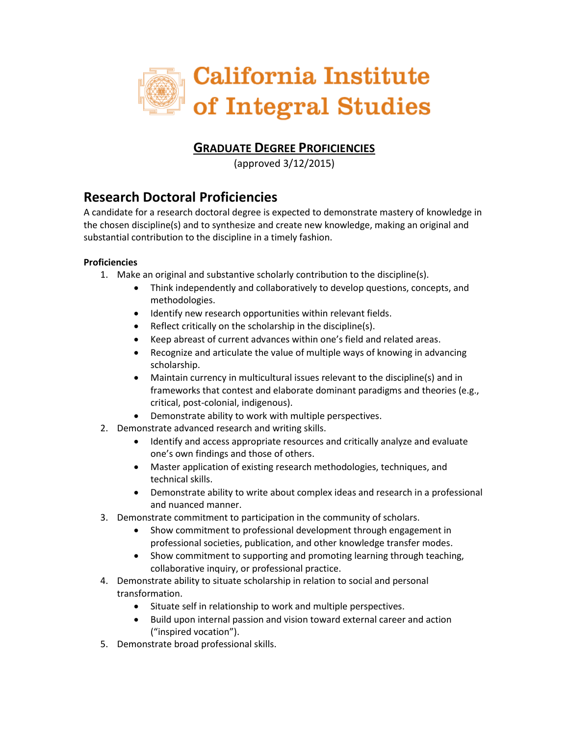

### **GRADUATE DEGREE PROFICIENCIES**

(approved 3/12/2015)

# **Research Doctoral Proficiencies**

A candidate for a research doctoral degree is expected to demonstrate mastery of knowledge in the chosen discipline(s) and to synthesize and create new knowledge, making an original and substantial contribution to the discipline in a timely fashion.

- 1. Make an original and substantive scholarly contribution to the discipline(s).
	- Think independently and collaboratively to develop questions, concepts, and methodologies.
	- Identify new research opportunities within relevant fields.
	- Reflect critically on the scholarship in the discipline(s).
	- Keep abreast of current advances within one's field and related areas.
	- Recognize and articulate the value of multiple ways of knowing in advancing scholarship.
	- Maintain currency in multicultural issues relevant to the discipline(s) and in frameworks that contest and elaborate dominant paradigms and theories (e.g., critical, post-colonial, indigenous).
	- Demonstrate ability to work with multiple perspectives.
- 2. Demonstrate advanced research and writing skills.
	- Identify and access appropriate resources and critically analyze and evaluate one's own findings and those of others.
	- Master application of existing research methodologies, techniques, and technical skills.
	- Demonstrate ability to write about complex ideas and research in a professional and nuanced manner.
- 3. Demonstrate commitment to participation in the community of scholars.
	- Show commitment to professional development through engagement in professional societies, publication, and other knowledge transfer modes.
	- Show commitment to supporting and promoting learning through teaching, collaborative inquiry, or professional practice.
- 4. Demonstrate ability to situate scholarship in relation to social and personal transformation.
	- Situate self in relationship to work and multiple perspectives.
	- Build upon internal passion and vision toward external career and action ("inspired vocation").
- 5. Demonstrate broad professional skills.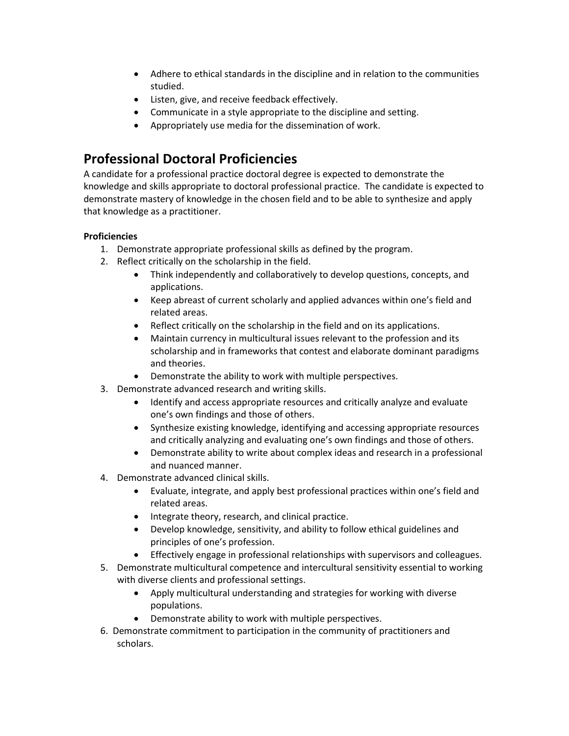- Adhere to ethical standards in the discipline and in relation to the communities studied.
- Listen, give, and receive feedback effectively.
- Communicate in a style appropriate to the discipline and setting.
- Appropriately use media for the dissemination of work.

# **Professional Doctoral Proficiencies**

A candidate for a professional practice doctoral degree is expected to demonstrate the knowledge and skills appropriate to doctoral professional practice. The candidate is expected to demonstrate mastery of knowledge in the chosen field and to be able to synthesize and apply that knowledge as a practitioner.

- 1. Demonstrate appropriate professional skills as defined by the program.
- 2. Reflect critically on the scholarship in the field.
	- Think independently and collaboratively to develop questions, concepts, and applications.
	- Keep abreast of current scholarly and applied advances within one's field and related areas.
	- Reflect critically on the scholarship in the field and on its applications.
	- Maintain currency in multicultural issues relevant to the profession and its scholarship and in frameworks that contest and elaborate dominant paradigms and theories.
	- Demonstrate the ability to work with multiple perspectives.
- 3. Demonstrate advanced research and writing skills.
	- Identify and access appropriate resources and critically analyze and evaluate one's own findings and those of others.
	- Synthesize existing knowledge, identifying and accessing appropriate resources and critically analyzing and evaluating one's own findings and those of others.
	- Demonstrate ability to write about complex ideas and research in a professional and nuanced manner.
- 4. Demonstrate advanced clinical skills.
	- Evaluate, integrate, and apply best professional practices within one's field and related areas.
	- Integrate theory, research, and clinical practice.
	- Develop knowledge, sensitivity, and ability to follow ethical guidelines and principles of one's profession.
	- Effectively engage in professional relationships with supervisors and colleagues.
- 5. Demonstrate multicultural competence and intercultural sensitivity essential to working with diverse clients and professional settings.
	- Apply multicultural understanding and strategies for working with diverse populations.
	- Demonstrate ability to work with multiple perspectives.
- 6. Demonstrate commitment to participation in the community of practitioners and scholars.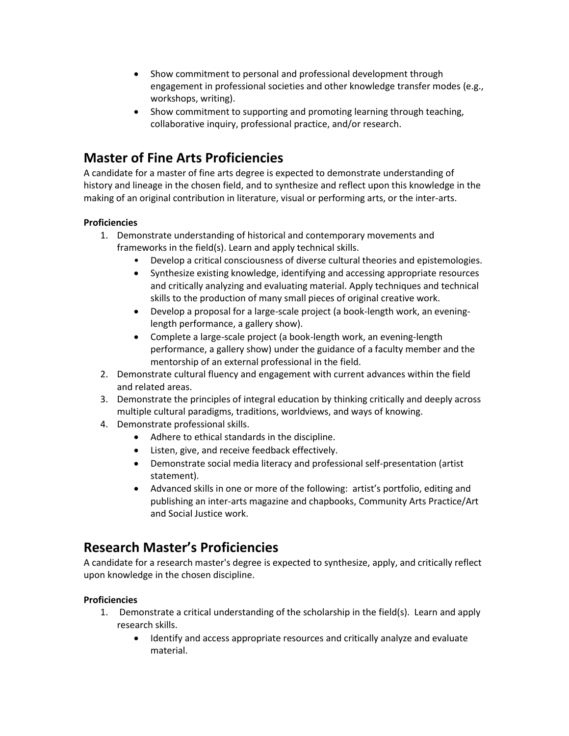- Show commitment to personal and professional development through engagement in professional societies and other knowledge transfer modes (e.g., workshops, writing).
- Show commitment to supporting and promoting learning through teaching, collaborative inquiry, professional practice, and/or research.

# **Master of Fine Arts Proficiencies**

A candidate for a master of fine arts degree is expected to demonstrate understanding of history and lineage in the chosen field, and to synthesize and reflect upon this knowledge in the making of an original contribution in literature, visual or performing arts, or the inter-arts.

#### **Proficiencies**

- 1. Demonstrate understanding of historical and contemporary movements and frameworks in the field(s). Learn and apply technical skills.
	- Develop a critical consciousness of diverse cultural theories and epistemologies.
	- Synthesize existing knowledge, identifying and accessing appropriate resources and critically analyzing and evaluating material. Apply techniques and technical skills to the production of many small pieces of original creative work.
	- Develop a proposal for a large-scale project (a book-length work, an eveninglength performance, a gallery show).
	- Complete a large-scale project (a book-length work, an evening-length performance, a gallery show) under the guidance of a faculty member and the mentorship of an external professional in the field.
- 2. Demonstrate cultural fluency and engagement with current advances within the field and related areas.
- 3. Demonstrate the principles of integral education by thinking critically and deeply across multiple cultural paradigms, traditions, worldviews, and ways of knowing.
- 4. Demonstrate professional skills.
	- Adhere to ethical standards in the discipline.
	- Listen, give, and receive feedback effectively.
	- Demonstrate social media literacy and professional self-presentation (artist statement).
	- Advanced skills in one or more of the following: artist's portfolio, editing and publishing an inter-arts magazine and chapbooks, Community Arts Practice/Art and Social Justice work.

## **Research Master's Proficiencies**

A candidate for a research master's degree is expected to synthesize, apply, and critically reflect upon knowledge in the chosen discipline.

- 1. Demonstrate a critical understanding of the scholarship in the field(s). Learn and apply research skills.
	- Identify and access appropriate resources and critically analyze and evaluate material.